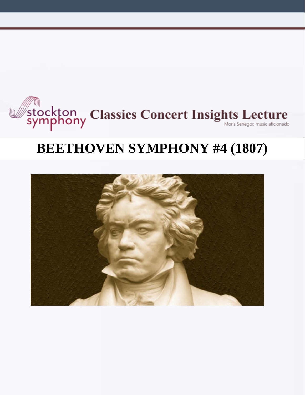

# **BEETHOVEN SYMPHONY #4 (1807)**

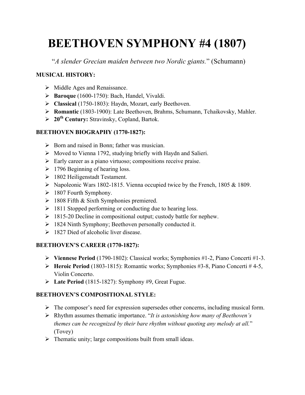# **BEETHOVEN SYMPHONY #4 (1807)**

"*A slender Grecian maiden between two Nordic giants.*" (Schumann)

# **MUSICAL HISTORY:**

- $\triangleright$  Middle Ages and Renaissance.
- Ø **Baroque** (1600-1750): Bach, Handel, Vivaldi.
- Ø **Classical** (1750-1803): Haydn, Mozart, early Beethoven.
- Ø **Romantic** (1803-1900): Late Beethoven, Brahms, Schumann, Tchaikovsky, Mahler.
- Ø **20th Century:** Stravinsky, Copland, Bartok.

## **BEETHOVEN BIOGRAPHY (1770-1827):**

- $\triangleright$  Born and raised in Bonn; father was musician.
- $\triangleright$  Moved to Vienna 1792, studying briefly with Haydn and Salieri.
- Ø Early career as a piano virtuoso; compositions receive praise.
- $\geq 1796$  Beginning of hearing loss.
- $\geq$  1802 Heiligenstadt Testament.
- $\triangleright$  Napoleonic Wars 1802-1815. Vienna occupied twice by the French, 1805 & 1809.
- $\geq 1807$  Fourth Symphony.
- $\geq 1808$  Fifth & Sixth Symphonies premiered.
- $\geq$  1811 Stopped performing or conducting due to hearing loss.
- $\geq 1815-20$  Decline in compositional output; custody battle for nephew.
- $\geq$  1824 Ninth Symphony; Beethoven personally conducted it.
- $\geq$  1827 Died of alcoholic liver disease.

# **BEETHOVEN'S CAREER (1770-1827):**

- Ø **Viennese Period** (1790-1802): Classical works; Symphonies #1-2, Piano Concerti #1-3.
- Ø **Heroic Period** (1803-1815): Romantic works; Symphonies #3-8, Piano Concerti # 4-5, Violin Concerto.
- Ø **Late Period** (1815-1827): Symphony #9, Great Fugue.

# **BEETHOVEN'S COMPOSITIONAL STYLE:**

- $\triangleright$  The composer's need for expression supersedes other concerns, including musical form.
- Ø Rhythm assumes thematic importance. "*It is astonishing how many of Beethoven's themes can be recognized by their bare rhythm without quoting any melody at all.*" (Tovey)
- $\triangleright$  Thematic unity; large compositions built from small ideas.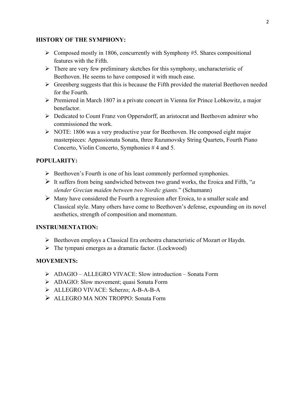#### **HISTORY OF THE SYMPHONY:**

- $\triangleright$  Composed mostly in 1806, concurrently with Symphony #5. Shares compositional features with the Fifth.
- $\triangleright$  There are very few preliminary sketches for this symphony, uncharacteristic of Beethoven. He seems to have composed it with much ease.
- $\triangleright$  Greenberg suggests that this is because the Fifth provided the material Beethoven needed for the Fourth.
- $\triangleright$  Premiered in March 1807 in a private concert in Vienna for Prince Lobkowitz, a major benefactor.
- Ø Dedicated to Count Franz von Oppersdorff, an aristocrat and Beethoven admirer who commissioned the work.
- $\triangleright$  NOTE: 1806 was a very productive year for Beethoven. He composed eight major masterpieces: Appassionata Sonata, three Razumovsky String Quartets, Fourth Piano Concerto, Violin Concerto, Symphonies # 4 and 5.

### **POPULARITY:**

- $\triangleright$  Beethoven's Fourth is one of his least commonly performed symphonies.
- Ø It suffers from being sandwiched between two grand works, the Eroica and Fifth, "*a slender Grecian maiden between two Nordic giants.*" (Schumann)
- $\triangleright$  Many have considered the Fourth a regression after Eroica, to a smaller scale and Classical style. Many others have come to Beethoven's defense, expounding on its novel aesthetics, strength of composition and momentum.

#### **INSTRUMENTATION:**

- $\triangleright$  Beethoven employs a Classical Era orchestra characteristic of Mozart or Haydn.
- $\triangleright$  The tympani emerges as a dramatic factor. (Lockwood)

#### **MOVEMENTS:**

- Ø ADAGIO ALLEGRO VIVACE: Slow introduction Sonata Form
- Ø ADAGIO: Slow movement; quasi Sonata Form
- Ø ALLEGRO VIVACE: Scherzo; A-B-A-B-A
- Ø ALLEGRO MA NON TROPPO: Sonata Form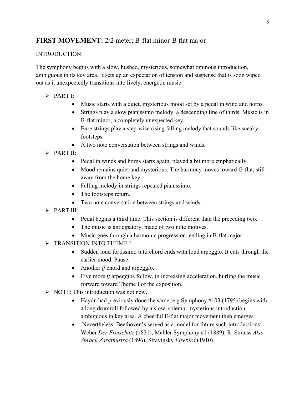# **FIRST MOVEMENT:** 2/2 meter; B-flat minor-B flat major

#### INTRODUCTION:

The symphony begins with a slow, hushed, mysterious, somewhat ominous introduction, ambiguous in its key area. It sets up an expectation of tension and suspense that is soon wiped out as it unexpectedly transitions into lively, energetic music.

- $\triangleright$  PART I:
	- Music starts with a quiet, mysterious mood set by a pedal in wind and horns.
	- Strings play a slow pianissimo melody, a descending line of thirds. Music is in B-flat minor, a completely unexpected key.
	- Bare strings play a step-wise rising falling melody that sounds like sneaky footsteps.
	- A two note conversation between strings and winds.
- $\triangleright$  PART II<sup>.</sup>
	- Pedal in winds and horns starts again, played a bit more emphatically.
	- Mood remains quiet and mysterious. The harmony moves toward G-flat, still away from the home key.
	- Falling melody in strings repeated pianissimo.
	- The footsteps return.
	- Two note conversation between strings and winds.
- $\triangleright$  PART III<sup>.</sup>
	- Pedal begins a third time. This section is different than the preceding two.
	- The music is anticipatory, made of two note motives.
	- Music goes through a harmonic progression, ending in B-flat major.
- $\triangleright$  TRANSITION INTO THEME I:
	- Sudden loud fortissimo tutti chord ends with loud arpeggio. It cuts through the earlier mood. Pause.
	- Another *ff* chord and arpeggio.
	- Five more *ff* arpeggios follow, in increasing acceleration, hurling the music forward toward Theme I of the exposition.
- $\triangleright$  NOTE: This introduction was not new.
	- Haydn had previously done the same; e.g Symphony #103 (1795) begins with a long drumroll followed by a slow, solemn, mysterious introduction, ambiguous in key area. A cheerful E-flat major movement then emerges.
	- Nevertheless, Beethoven's served as a model for future such introductions: Weber *Der Freischutz* (1821), Mahler Symphony #1 (1889), R. Strauss *Also Sprach Zarathustra* (1896), Stravinsky *Firebird* (1910).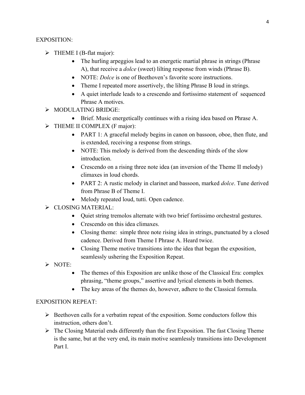#### EXPOSITION:

- $\triangleright$  THEME I (B-flat major):
	- The hurling arpeggios lead to an energetic martial phrase in strings (Phrase A), that receive a *dolce* (sweet) lilting response from winds (Phrase B).
	- NOTE: *Dolce* is one of Beethoven's favorite score instructions.
	- Theme I repeated more assertively, the lilting Phrase B loud in strings.
	- A quiet interlude leads to a crescendo and fortissimo statement of sequenced Phrase A motives.
- Ø MODULATING BRIDGE:
	- Brief. Music energetically continues with a rising idea based on Phrase A.
- $\triangleright$  THEME II COMPLEX (F major):
	- PART 1: A graceful melody begins in canon on bassoon, oboe, then flute, and is extended, receiving a response from strings.
	- NOTE: This melody is derived from the descending thirds of the slow introduction.
	- Crescendo on a rising three note idea (an inversion of the Theme II melody) climaxes in loud chords.
	- PART 2: A rustic melody in clarinet and bassoon, marked *dolce*. Tune derived from Phrase B of Theme I.
	- Melody repeated loud, tutti. Open cadence.
- Ø CLOSING MATERIAL:
	- Quiet string tremolos alternate with two brief fortissimo orchestral gestures.
	- Crescendo on this idea climaxes.
	- Closing theme: simple three note rising idea in strings, punctuated by a closed cadence. Derived from Theme I Phrase A. Heard twice.
	- Closing Theme motive transitions into the idea that began the exposition, seamlessly ushering the Exposition Repeat.
- $\triangleright$  NOTE:
	- The themes of this Exposition are unlike those of the Classical Era: complex phrasing, "theme groups," assertive and lyrical elements in both themes.
	- The key areas of the themes do, however, adhere to the Classical formula.

## EXPOSITION REPEAT:

- $\triangleright$  Beethoven calls for a verbatim repeat of the exposition. Some conductors follow this instruction, others don't.
- $\triangleright$  The Closing Material ends differently than the first Exposition. The fast Closing Theme is the same, but at the very end, its main motive seamlessly transitions into Development Part I.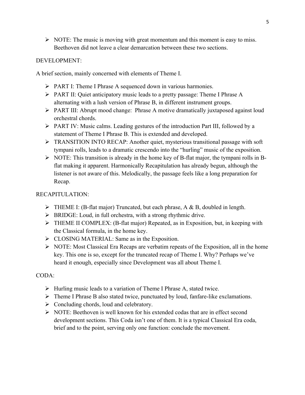$\triangleright$  NOTE: The music is moving with great momentum and this moment is easy to miss. Beethoven did not leave a clear demarcation between these two sections.

#### DEVELOPMENT:

A brief section, mainly concerned with elements of Theme I.

- Ø PART I: Theme I Phrase A sequenced down in various harmonies.
- Ø PART II: Quiet anticipatory music leads to a pretty passage: Theme I Phrase A alternating with a lush version of Phrase B, in different instrument groups.
- Ø PART III: Abrupt mood change: Phrase A motive dramatically juxtaposed against loud orchestral chords.
- Ø PART IV: Music calms. Leading gestures of the introduction Part III, followed by a statement of Theme I Phrase B. This is extended and developed.
- $\triangleright$  TRANSITION INTO RECAP: Another quiet, mysterious transitional passage with soft tympani rolls, leads to a dramatic crescendo into the "hurling" music of the exposition.
- $\triangleright$  NOTE: This transition is already in the home key of B-flat major, the tympani rolls in Bflat making it apparent. Harmonically Recapitulation has already begun, although the listener is not aware of this. Melodically, the passage feels like a long preparation for Recap.

### RECAPITULATION:

- $\triangleright$  THEME I: (B-flat major) Truncated, but each phrase, A & B, doubled in length.
- $\triangleright$  BRIDGE: Loud, in full orchestra, with a strong rhythmic drive.
- $\triangleright$  THEME II COMPLEX: (B-flat major) Repeated, as in Exposition, but, in keeping with the Classical formula, in the home key.
- $\triangleright$  CLOSING MATERIAL: Same as in the Exposition.
- $\triangleright$  NOTE: Most Classical Era Recaps are verbatim repeats of the Exposition, all in the home key. This one is so, except for the truncated recap of Theme I. Why? Perhaps we've heard it enough, especially since Development was all about Theme I.

## CODA:

- $\triangleright$  Hurling music leads to a variation of Theme I Phrase A, stated twice.
- $\triangleright$  Theme I Phrase B also stated twice, punctuated by loud, fanfare-like exclamations.
- $\triangleright$  Concluding chords, loud and celebratory.
- $\triangleright$  NOTE: Beethoven is well known for his extended codas that are in effect second development sections. This Coda isn't one of them. It is a typical Classical Era coda, brief and to the point, serving only one function: conclude the movement.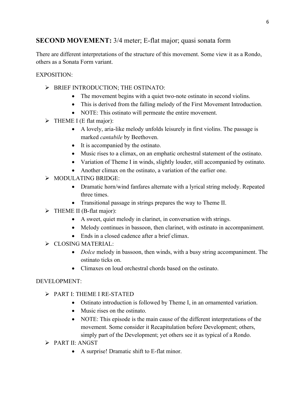# **SECOND MOVEMENT:** 3/4 meter; E-flat major; quasi sonata form

There are different interpretations of the structure of this movement. Some view it as a Rondo, others as a Sonata Form variant.

### EXPOSITION:

- Ø BRIEF INTRODUCTION; THE OSTINATO:
	- The movement begins with a quiet two-note ostinato in second violins.
	- This is derived from the falling melody of the First Movement Introduction.
	- NOTE: This ostinato will permeate the entire movement.
- $\triangleright$  THEME I (E flat major):
	- A lovely, aria-like melody unfolds leisurely in first violins. The passage is marked *cantabile* by Beethoven.
	- It is accompanied by the ostinato.
	- Music rises to a climax, on an emphatic orchestral statement of the ostinato.
	- Variation of Theme I in winds, slightly louder, still accompanied by ostinato.
	- Another climax on the ostinato, a variation of the earlier one.
- Ø MODULATING BRIDGE:
	- Dramatic horn/wind fanfares alternate with a lyrical string melody. Repeated three times.
	- Transitional passage in strings prepares the way to Theme II.
- $\triangleright$  THEME II (B-flat major):
	- A sweet, quiet melody in clarinet, in conversation with strings.
	- Melody continues in bassoon, then clarinet, with ostinato in accompaniment.
	- Ends in a closed cadence after a brief climax.
- $\triangleright$  CLOSING MATERIAL:
	- *Dolce* melody in bassoon, then winds, with a busy string accompaniment. The ostinato ticks on.
	- Climaxes on loud orchestral chords based on the ostinato.

#### DEVELOPMENT:

- Ø PART I: THEME I RE-STATED
	- Ostinato introduction is followed by Theme I, in an ornamented variation.
	- Music rises on the ostinato.
	- NOTE: This episode is the main cause of the different interpretations of the movement. Some consider it Recapitulation before Development; others, simply part of the Development; yet others see it as typical of a Rondo.
- Ø PART II: ANGST
	- A surprise! Dramatic shift to E-flat minor.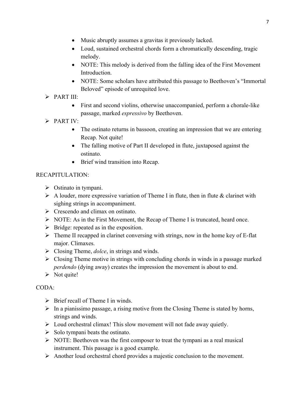- Music abruptly assumes a gravitas it previously lacked.
- Loud, sustained orchestral chords form a chromatically descending, tragic melody.
- NOTE: This melody is derived from the falling idea of the First Movement Introduction.
- NOTE: Some scholars have attributed this passage to Beethoven's "Immortal" Beloved" episode of unrequited love.
- $\triangleright$  PART III:
	- First and second violins, otherwise unaccompanied, perform a chorale-like passage, marked *espressivo* by Beethoven.
- $\triangleright$  PART IV:
	- The ostinato returns in bassoon, creating an impression that we are entering Recap. Not quite!
	- The falling motive of Part II developed in flute, juxtaposed against the ostinato.
	- Brief wind transition into Recap.

## RECAPITULATION:

- $\triangleright$  Ostinato in tympani.
- $\triangleright$  A louder, more expressive variation of Theme I in flute, then in flute & clarinet with sighing strings in accompaniment.
- $\triangleright$  Crescendo and climax on ostinato.
- $\triangleright$  NOTE: As in the First Movement, the Recap of Theme I is truncated, heard once.
- $\triangleright$  Bridge: repeated as in the exposition.
- $\triangleright$  Theme II recapped in clarinet conversing with strings, now in the home key of E-flat major. Climaxes.
- $\triangleright$  Closing Theme, *dolce*, in strings and winds.
- $\triangleright$  Closing Theme motive in strings with concluding chords in winds in a passage marked *perdendo* (dying away) creates the impression the movement is about to end.
- $\triangleright$  Not quite!

# CODA:

- $\triangleright$  Brief recall of Theme I in winds.
- $\triangleright$  In a pianissimo passage, a rising motive from the Closing Theme is stated by horns, strings and winds.
- $\triangleright$  Loud orchestral climax! This slow movement will not fade away quietly.
- $\triangleright$  Solo tympani beats the ostinato.
- $\triangleright$  NOTE: Beethoven was the first composer to treat the tympani as a real musical instrument. This passage is a good example.
- $\triangleright$  Another loud orchestral chord provides a majestic conclusion to the movement.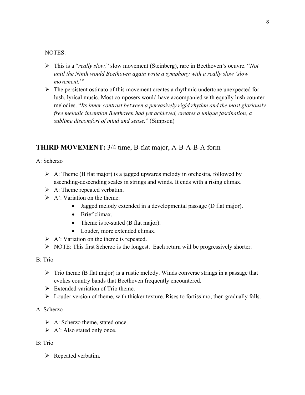#### NOTES:

- Ø This is a "*really slow,*" slow movement (Steinberg), rare in Beethoven's oeuvre. "*Not until the Ninth would Beethoven again write a symphony with a really slow 'slow*  movement."
- $\triangleright$  The persistent ostinato of this movement creates a rhythmic undertone unexpected for lush, lyrical music. Most composers would have accompanied with equally lush countermelodies. "*Its inner contrast between a pervasively rigid rhythm and the most gloriously free melodic invention Beethoven had yet achieved, creates a unique fascination, a sublime discomfort of mind and sense.*" (Simpson)

## **THIRD MOVEMENT:** 3/4 time, B-flat major, A-B-A-B-A form

A: Scherzo

- $\triangleright$  A: Theme (B flat major) is a jagged upwards melody in orchestra, followed by ascending-descending scales in strings and winds. It ends with a rising climax.
- $\triangleright$  A: Theme repeated verbatim.
- $\triangleright$  A': Variation on the theme:
	- Jagged melody extended in a developmental passage (D flat major).
	- Brief climax.
	- Theme is re-stated (B flat major).
	- Louder, more extended climax.
- $\triangleright$  A': Variation on the theme is repeated.
- $\triangleright$  NOTE: This first Scherzo is the longest. Each return will be progressively shorter.

#### B: Trio

- $\triangleright$  Trio theme (B flat major) is a rustic melody. Winds converse strings in a passage that evokes country bands that Beethoven frequently encountered.
- $\triangleright$  Extended variation of Trio theme.
- $\triangleright$  Louder version of theme, with thicker texture. Rises to fortissimo, then gradually falls.

#### A: Scherzo

- $\triangleright$  A: Scherzo theme, stated once.
- $\triangleright$  A': Also stated only once.

#### B: Trio

 $\triangleright$  Repeated verbatim.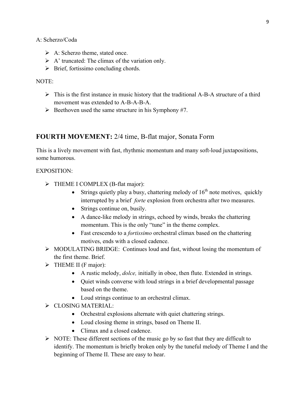A: Scherzo/Coda

- $\triangleright$  A: Scherzo theme, stated once.
- $\triangleright$  A' truncated: The climax of the variation only.
- $\triangleright$  Brief, fortissimo concluding chords.

#### NOTE:

- $\triangleright$  This is the first instance in music history that the traditional A-B-A structure of a third movement was extended to A-B-A-B-A.
- $\triangleright$  Beethoven used the same structure in his Symphony #7.

# **FOURTH MOVEMENT:** 2/4 time, B-flat major, Sonata Form

This is a lively movement with fast, rhythmic momentum and many soft-loud juxtapositions, some humorous.

#### EXPOSITION:

- $\triangleright$  THEME I COMPLEX (B-flat major):
	- Strings quietly play a busy, chattering melody of  $16<sup>th</sup>$  note motives, quickly interrupted by a brief *forte* explosion from orchestra after two measures.
	- Strings continue on, busily.
	- A dance-like melody in strings, echoed by winds, breaks the chattering momentum. This is the only "tune" in the theme complex.
	- Fast crescendo to a *fortissimo* orchestral climax based on the chattering motives, ends with a closed cadence.
- $\triangleright$  MODULATING BRIDGE: Continues loud and fast, without losing the momentum of the first theme. Brief.
- $\triangleright$  THEME II (F major):
	- A rustic melody, *dolce,* initially in oboe, then flute. Extended in strings.
	- Quiet winds converse with loud strings in a brief developmental passage based on the theme.
	- Loud strings continue to an orchestral climax.
- Ø CLOSING MATERIAL:
	- Orchestral explosions alternate with quiet chattering strings.
	- Loud closing theme in strings, based on Theme II.
	- Climax and a closed cadence.
- $\triangleright$  NOTE: These different sections of the music go by so fast that they are difficult to identify. The momentum is briefly broken only by the tuneful melody of Theme I and the beginning of Theme II. These are easy to hear.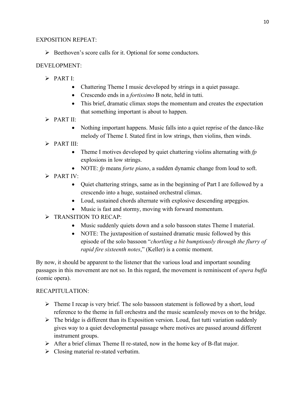### EXPOSITION REPEAT:

 $\triangleright$  Beethoven's score calls for it. Optional for some conductors.

## DEVELOPMENT:

- $\triangleright$  PART I:
	- Chattering Theme I music developed by strings in a quiet passage.
	- Crescendo ends in a *fortissimo* B note, held in tutti.
	- This brief, dramatic climax stops the momentum and creates the expectation that something important is about to happen.
- $\triangleright$  PART II:
	- Nothing important happens. Music falls into a quiet reprise of the dance-like melody of Theme I. Stated first in low strings, then violins, then winds.
- $\triangleright$  PART III $\cdot$ 
	- Theme I motives developed by quiet chattering violins alternating with *fp* explosions in low strings.
	- NOTE: *fp* means *forte piano*, a sudden dynamic change from loud to soft.
- $\triangleright$  PART IV:
	- Quiet chattering strings, same as in the beginning of Part I are followed by a crescendo into a huge, sustained orchestral climax.
	- Loud, sustained chords alternate with explosive descending arpeggios.
	- Music is fast and stormy, moving with forward momentum.
- > TRANSITION TO RECAP:
	- Music suddenly quiets down and a solo bassoon states Theme I material.
	- NOTE: The juxtaposition of sustained dramatic music followed by this episode of the solo bassoon "*chortling a bit bumptiously through the flurry of rapid fire sixteenth notes*," (Keller) is a comic moment.

By now, it should be apparent to the listener that the various loud and important sounding passages in this movement are not so. In this regard, the movement is reminiscent of *opera buffa* (comic opera).

## RECAPITULATION:

- $\triangleright$  Theme I recap is very brief. The solo bassoon statement is followed by a short, loud reference to the theme in full orchestra and the music seamlessly moves on to the bridge.
- $\triangleright$  The bridge is different than its Exposition version. Loud, fast tutti variation suddenly gives way to a quiet developmental passage where motives are passed around different instrument groups.
- $\triangleright$  After a brief climax Theme II re-stated, now in the home key of B-flat major.
- $\triangleright$  Closing material re-stated verbatim.